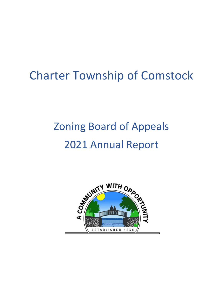# Charter Township of Comstock

# Zoning Board of Appeals 2021 Annual Report

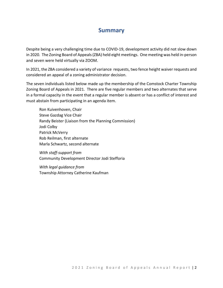# **Summary**

Despite being a very challenging time due to COVID-19, development activity did not slow down in 2020. The Zoning Board of Appeals (ZBA) held eight meetings. One meeting was held in-person and seven were held virtually via ZOOM.

In 2021, the ZBA considered a variety of variance requests, two fence height waiver requests and considered an appeal of a zoning administrator decision.

The seven individuals listed below made up the membership of the Comstock Charter Township Zoning Board of Appeals in 2021. There are five regular members and two alternates that serve in a formal capacity in the event that a regular member is absent or has a conflict of interest and must abstain from participating in an agenda item.

Ron Kuivenhoven, Chair Steve Gazdag Vice Chair Randy Beister (Liaison from the Planning Commission) Jodi Colby Patrick McVerry Rob Reilman, first alternate Marla Schwartz, second alternate

*With staff-support from*  Community Development Director Jodi Stefforia

*With legal guidance from* Township Attorney Catherine Kaufman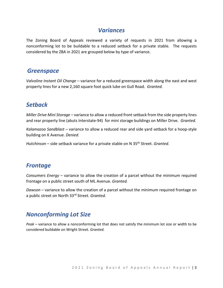#### *Variances*

The Zoning Board of Appeals reviewed a variety of requests in 2021 from allowing a nonconforming lot to be buildable to a reduced setback for a private stable. The requests considered by the ZBA in 2021 are grouped below by type of variance.

#### *Greenspace*

*Valvoline Instant Oil Change –* variance for a reduced greenspace width along the east and west property lines for a new 2,160 square foot quick lube on Gull Road. *Granted.*

# *Setback*

*Miller Drive Mini Storage –* variance to allow a reduced front setback from the side property lines and rear property line (abuts Interstate-94) for mini storage buildings on Miller Drive. *Granted.*

*Kalamazoo Sandblast* – variance to allow a reduced rear and side yard setback for a hoop-style building on K Avenue. *Denied.* 

*Hutchinson* – side setback variance for a private stable on N 35th Street. *Granted.*

### *Frontage*

*Consumers Energy* – variance to allow the creation of a parcel without the minimum required frontage on a public street south of ML Avenue. *Granted.*

*Dawson* – variance to allow the creation of a parcel without the minimum required frontage on a public street on North 33rd Street. *Granted.*

# *Nonconforming Lot Size*

*Peak* – variance to allow a nonconforming lot that does not satisfy the minimum lot size or width to be considered buildable on Wright Street. *Granted.*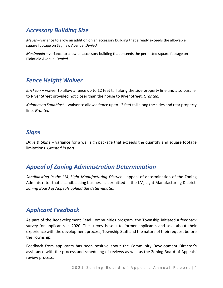# *Accessory Building Size*

*Meyer* – variance to allow an addition on an accessory building that already exceeds the allowable square footage on Saginaw Avenue. *Denied.*

*MacDonald* – variance to allow an accessory building that exceeds the permitted square footage on Plainfield Avenue. *Denied.*

# *Fence Height Waiver*

*Erickson* – waiver to allow a fence up to 12 feet tall along the side property line and also parallel to River Street provided not closer than the house to River Street. *Granted.*

*Kalamazoo Sandblast* – waiver to allow a fence up to 12 feet tall along the sides and rear property line. *Granted*

## *Signs*

*Drive & Shine* – variance for a wall sign package that exceeds the quantity and square footage limitations. *Granted in part.* 

# *Appeal of Zoning Administration Determination*

*Sandblasting in the LM, Light Manufacturing District* – appeal of determination of the Zoning Administrator that a sandblasting business is permitted in the LM, Light Manufacturing District. *Zoning Board of Appeals upheld the determination.*

# *Applicant Feedback*

As part of the Redevelopment Read Communities program, the Township initiated a feedback survey for applicants in 2020. The survey is sent to former applicants and asks about their experience with the development process, Township Staff and the nature of their request before the Township.

Feedback from applicants has been positive about the Community Development Director's assistance with the process and scheduling of reviews as well as the Zoning Board of Appeals' review process.